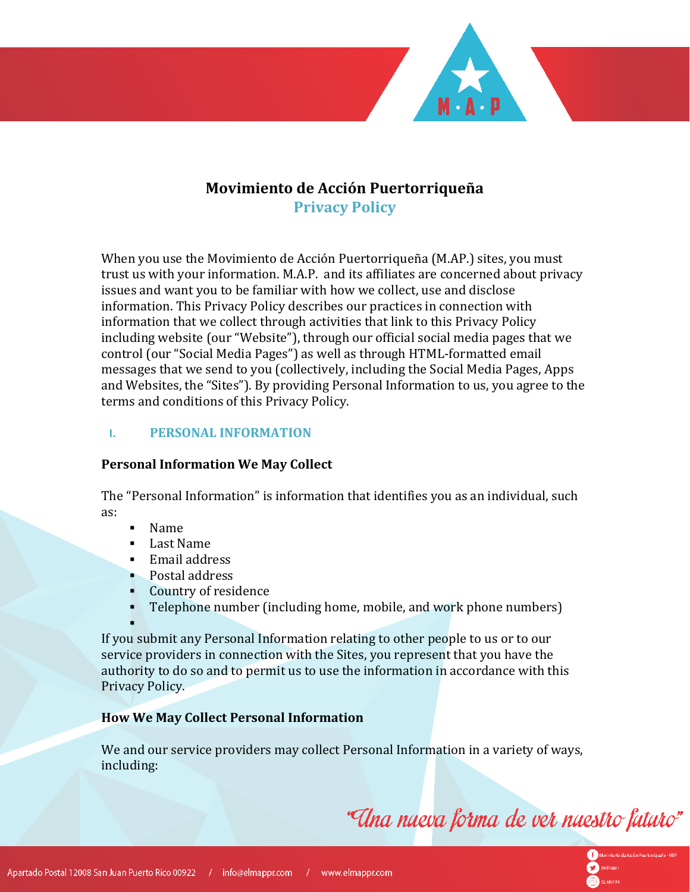## **Movimiento de Acción Puertorriqueña Privacy Policy**

When you use the Movimiento de Acción Puertorriqueña (M.AP.) sites, you must trust us with your information. M.A.P. and its affiliates are concerned about privacy issues and want you to be familiar with how we collect, use and disclose information. This Privacy Policy describes our practices in connection with information that we collect through activities that link to this Privacy Policy including website (our "Website"), through our official social media pages that we control (our "Social Media Pages") as well as through HTML-formatted email messages that we send to you (collectively, including the Social Media Pages, Apps and Websites, the "Sites"). By providing Personal Information to us, you agree to the terms and conditions of this Privacy Policy.

## **I. PERSONAL INFORMATION**

### **Personal Information We May Collect**

The "Personal Information" is information that identifies you as an individual, such as:

- Name
- Last Name
- **Email address**
- Postal address<br>• Country of resi
- Country of residence
- Telephone number (including home, mobile, and work phone numbers)

٠

If you submit any Personal Information relating to other people to us or to our service providers in connection with the Sites, you represent that you have the authority to do so and to permit us to use the information in accordance with this Privacy Policy.

## **How We May Collect Personal Information**

We and our service providers may collect Personal Information in a variety of ways, including:

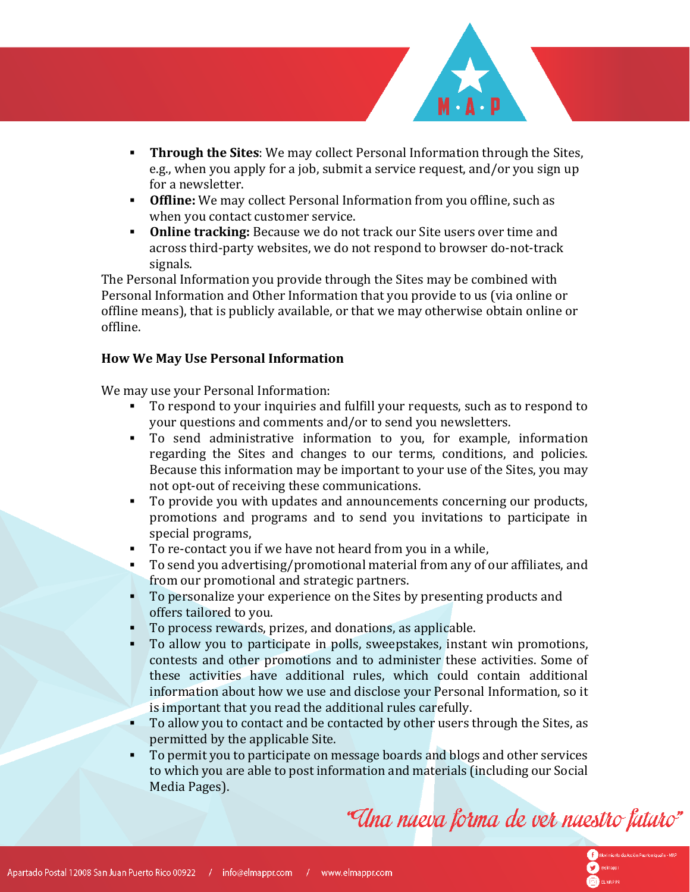- **Through the Sites**: We may collect Personal Information through the Sites, e.g., when you apply for a job, submit a service request, and/or you sign up for a newsletter.
- **Offline:** We may collect Personal Information from you offline, such as when you contact customer service.
- **Online tracking:** Because we do not track our Site users over time and across third-party websites, we do not respond to browser do-not-track signals.

The Personal Information you provide through the Sites may be combined with Personal Information and Other Information that you provide to us (via online or offline means), that is publicly available, or that we may otherwise obtain online or offline.

## **How We May Use Personal Information**

We may use your Personal Information:

- To respond to your inquiries and fulfill your requests, such as to respond to your questions and comments and/or to send you newsletters.
- To send administrative information to you, for example, information regarding the Sites and changes to our terms, conditions, and policies. Because this information may be important to your use of the Sites, you may not opt-out of receiving these communications.
- To provide you with updates and announcements concerning our products, promotions and programs and to send you invitations to participate in special programs,
- To re-contact you if we have not heard from you in a while,
- To send you advertising/promotional material from any of our affiliates, and from our promotional and strategic partners.
- To personalize your experience on the Sites by presenting products and offers tailored to you.
- To process rewards, prizes, and donations, as applicable.
- To allow you to participate in polls, sweepstakes, instant win promotions, contests and other promotions and to administer these activities. Some of these activities have additional rules, which could contain additional information about how we use and disclose your Personal Information, so it is important that you read the additional rules carefully.
- To allow you to contact and be contacted by other users through the Sites, as permitted by the applicable Site.
- To permit you to participate on message boards and blogs and other services to which you are able to post information and materials (including our Social Media Pages).

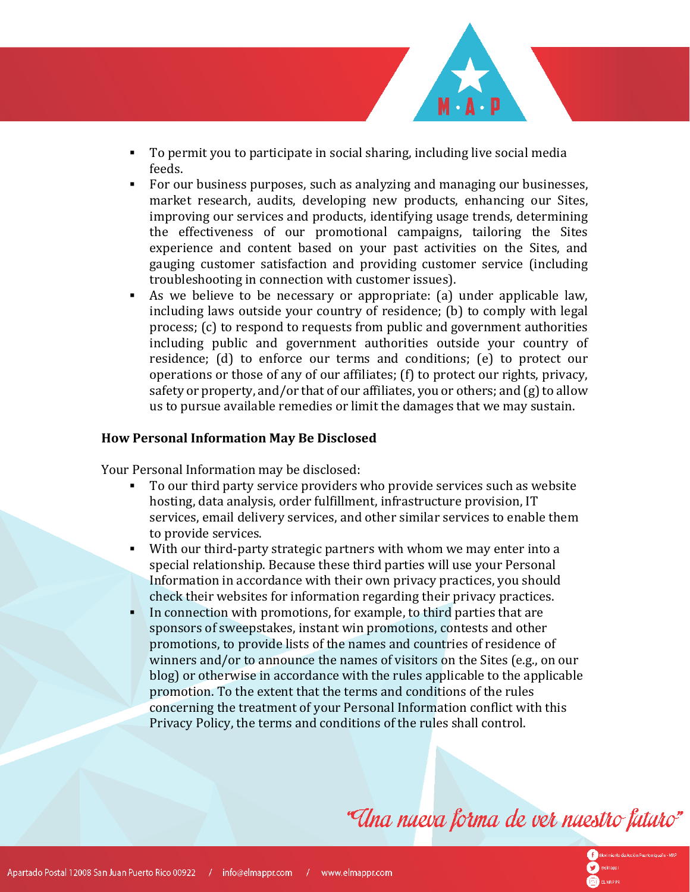- To permit you to participate in social sharing, including live social media feeds.
- For our business purposes, such as analyzing and managing our businesses, market research, audits, developing new products, enhancing our Sites, improving our services and products, identifying usage trends, determining the effectiveness of our promotional campaigns, tailoring the Sites experience and content based on your past activities on the Sites, and gauging customer satisfaction and providing customer service (including troubleshooting in connection with customer issues).
- As we believe to be necessary or appropriate: (a) under applicable law, including laws outside your country of residence; (b) to comply with legal process; (c) to respond to requests from public and government authorities including public and government authorities outside your country of residence; (d) to enforce our terms and conditions; (e) to protect our operations or those of any of our affiliates; (f) to protect our rights, privacy, safety or property, and/or that of our affiliates, you or others; and (g) to allow us to pursue available remedies or limit the damages that we may sustain.

#### **How Personal Information May Be Disclosed**

Your Personal Information may be disclosed:

- To our third party service providers who provide services such as website hosting, data analysis, order fulfillment, infrastructure provision, IT services, email delivery services, and other similar services to enable them to provide services.
- With our third-party strategic partners with whom we may enter into a special relationship. Because these third parties will use your Personal Information in accordance with their own privacy practices, you should check their websites for information regarding their privacy practices.
- In connection with promotions, for example, to third parties that are sponsors of sweepstakes, instant win promotions, contests and other promotions, to provide lists of the names and countries of residence of winners and/or to announce the names of visitors on the Sites (e.g., on our blog) or otherwise in accordance with the rules applicable to the applicable promotion. To the extent that the terms and conditions of the rules concerning the treatment of your Personal Information conflict with this Privacy Policy, the terms and conditions of the rules shall control.

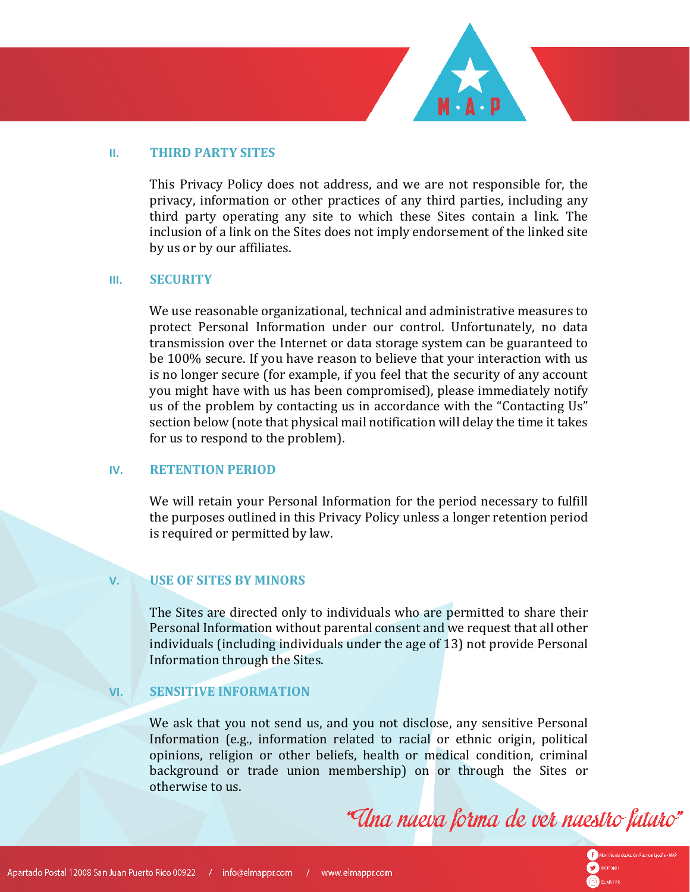

#### **II. THIRD PARTY SITES**

This Privacy Policy does not address, and we are not responsible for, the privacy, information or other practices of any third parties, including any third party operating any site to which these Sites contain a link. The inclusion of a link on the Sites does not imply endorsement of the linked site by us or by our affiliates.

#### **III. SECURITY**

We use reasonable organizational, technical and administrative measures to protect Personal Information under our control. Unfortunately, no data transmission over the Internet or data storage system can be guaranteed to be 100% secure. If you have reason to believe that your interaction with us is no longer secure (for example, if you feel that the security of any account you might have with us has been compromised), please immediately notify us of the problem by contacting us in accordance with the "Contacting Us" section below (note that physical mail notification will delay the time it takes for us to respond to the problem).

#### **IV. RETENTION PERIOD**

We will retain your Personal Information for the period necessary to fulfill the purposes outlined in this Privacy Policy unless a longer retention period is required or permitted by law.

#### **V. USE OF SITES BY MINORS**

The Sites are directed only to individuals who are permitted to share their Personal Information without parental consent and we request that all other individuals (including individuals under the age of 13) not provide Personal Information through the Sites.

#### **VI. SENSITIVE INFORMATION**

We ask that you not send us, and you not disclose, any sensitive Personal Information (e.g., information related to racial or ethnic origin, political opinions, religion or other beliefs, health or medical condition, criminal background or trade union membership) on or through the Sites or otherwise to us.